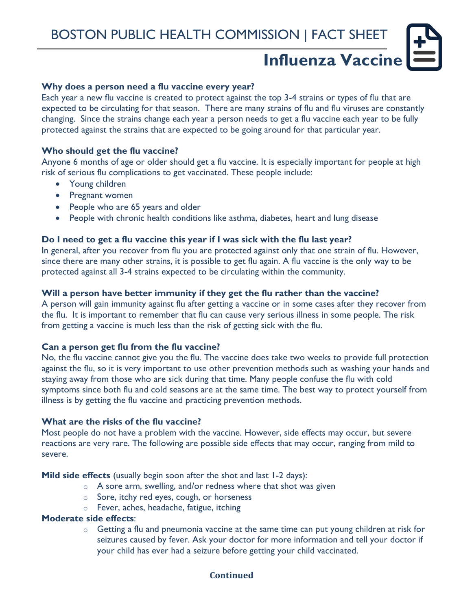# **Influenza Vaccine**

## **Why does a person need a flu vaccine every year?**

Each year a new flu vaccine is created to protect against the top 3-4 strains or types of flu that are expected to be circulating for that season. There are many strains of flu and flu viruses are constantly changing. Since the strains change each year a person needs to get a flu vaccine each year to be fully protected against the strains that are expected to be going around for that particular year.

# **Who should get the flu vaccine?**

Anyone 6 months of age or older should get a flu vaccine. It is especially important for people at high risk of serious flu complications to get vaccinated. These people include:

- Young children
- Pregnant women
- People who are 65 years and older
- People with chronic health conditions like asthma, diabetes, heart and lung disease

# **Do I need to get a flu vaccine this year if I was sick with the flu last year?**

In general, after you recover from flu you are protected against only that one strain of flu. However, since there are many other strains, it is possible to get flu again. A flu vaccine is the only way to be protected against all 3-4 strains expected to be circulating within the community.

#### **Will a person have better immunity if they get the flu rather than the vaccine?**

A person will gain immunity against flu after getting a vaccine or in some cases after they recover from the flu. It is important to remember that flu can cause very serious illness in some people. The risk from getting a vaccine is much less than the risk of getting sick with the flu.

#### **Can a person get flu from the flu vaccine?**

No, the flu vaccine cannot give you the flu. The vaccine does take two weeks to provide full protection against the flu, so it is very important to use other prevention methods such as washing your hands and staying away from those who are sick during that time. Many people confuse the flu with cold symptoms since both flu and cold seasons are at the same time. The best way to protect yourself from illness is by getting the flu vaccine and practicing prevention methods.

#### **What are the risks of the flu vaccine?**

Most people do not have a problem with the vaccine. However, side effects may occur, but severe reactions are very rare. The following are possible side effects that may occur, ranging from mild to severe.

**Mild side effects** (usually begin soon after the shot and last 1-2 days):

- $\circ$  A sore arm, swelling, and/or redness where that shot was given
- o Sore, itchy red eyes, cough, or horseness
- o Fever, aches, headache, fatigue, itching

#### **Moderate side effects**:

 $\circ$  Getting a flu and pneumonia vaccine at the same time can put young children at risk for seizures caused by fever. Ask your doctor for more information and tell your doctor if your child has ever had a seizure before getting your child vaccinated.

# **Continued**